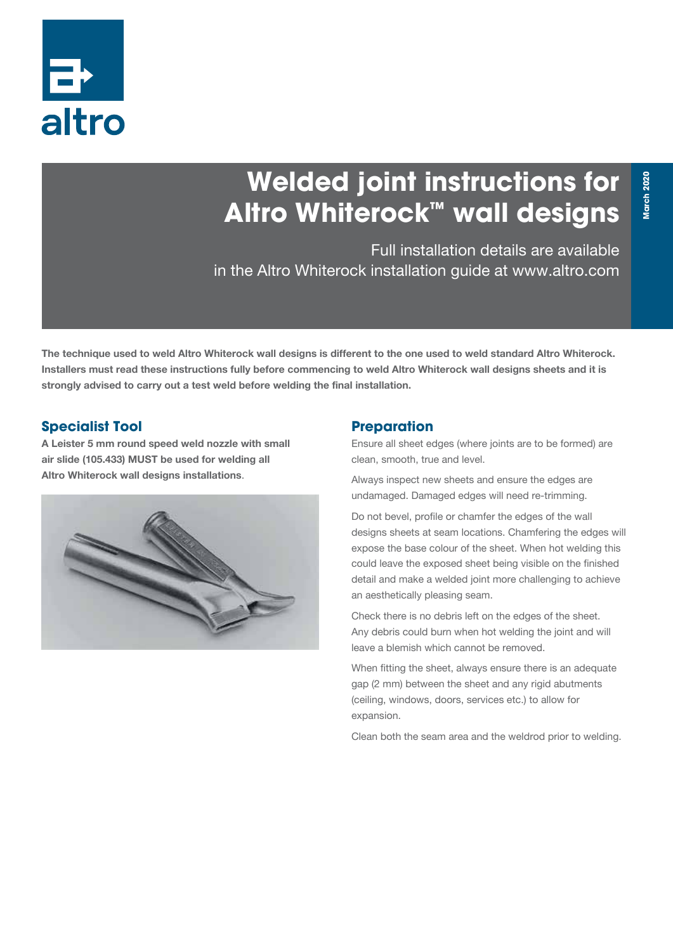

# **Welded joint instructions for Altro Whiterock™ wall designs**

Full installation details are available in the Altro Whiterock installation guide at www.altro.com

The technique used to weld Altro Whiterock wall designs is different to the one used to weld standard Altro Whiterock. Installers must read these instructions fully before commencing to weld Altro Whiterock wall designs sheets and it is strongly advised to carry out a test weld before welding the final installation.

### **Specialist Tool**

A Leister 5 mm round speed weld nozzle with small air slide (105.433) MUST be used for welding all Altro Whiterock wall designs installations.



#### **Preparation**

Ensure all sheet edges (where joints are to be formed) are clean, smooth, true and level.

Always inspect new sheets and ensure the edges are undamaged. Damaged edges will need re-trimming.

Do not bevel, profile or chamfer the edges of the wall designs sheets at seam locations. Chamfering the edges will expose the base colour of the sheet. When hot welding this could leave the exposed sheet being visible on the finished detail and make a welded joint more challenging to achieve an aesthetically pleasing seam.

Check there is no debris left on the edges of the sheet. Any debris could burn when hot welding the joint and will leave a blemish which cannot be removed.

When fitting the sheet, always ensure there is an adequate gap (2 mm) between the sheet and any rigid abutments (ceiling, windows, doors, services etc.) to allow for expansion.

Clean both the seam area and the weldrod prior to welding.